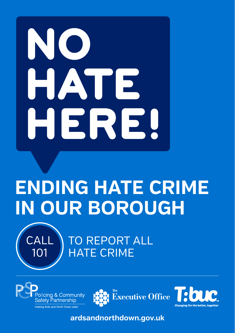## HAT  $\mathbf E$ HERE!

## **ENDING HATE CRIME IN OUR BOROUGH**



TO REPORT ALL HATE CRIME







**ardsandnorthdown.gov.uk**